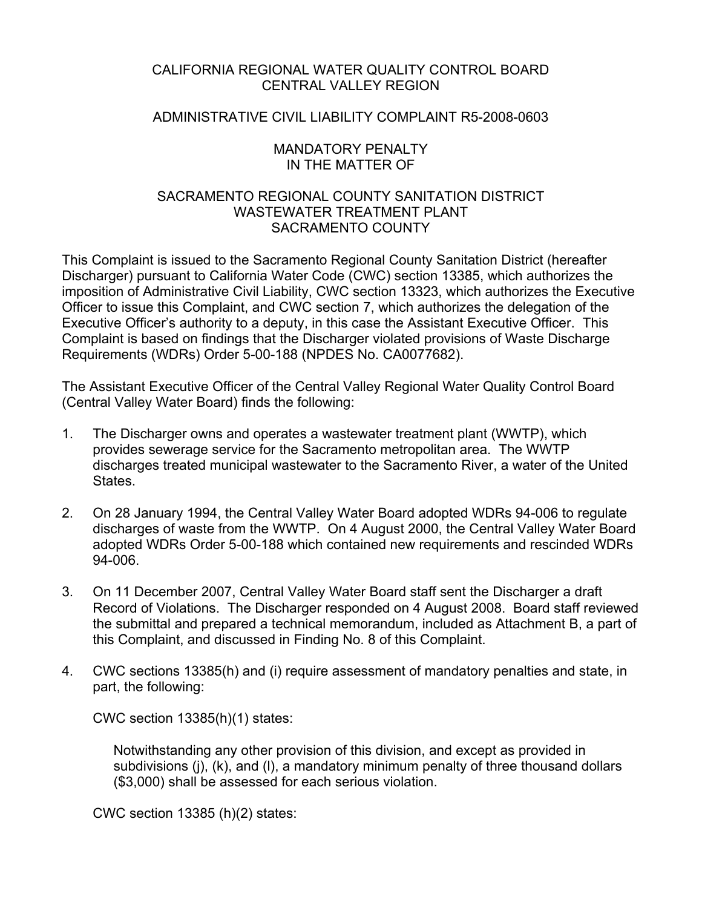### CALIFORNIA REGIONAL WATER QUALITY CONTROL BOARD CENTRAL VALLEY REGION

### ADMINISTRATIVE CIVIL LIABILITY COMPLAINT R5-2008-0603

### MANDATORY PENALTY IN THE MATTER OF

### SACRAMENTO REGIONAL COUNTY SANITATION DISTRICT WASTEWATER TREATMENT PI ANT SACRAMENTO COUNTY

This Complaint is issued to the Sacramento Regional County Sanitation District (hereafter Discharger) pursuant to California Water Code (CWC) section 13385, which authorizes the imposition of Administrative Civil Liability, CWC section 13323, which authorizes the Executive Officer to issue this Complaint, and CWC section 7, which authorizes the delegation of the Executive Officer's authority to a deputy, in this case the Assistant Executive Officer. This Complaint is based on findings that the Discharger violated provisions of Waste Discharge Requirements (WDRs) Order 5-00-188 (NPDES No. CA0077682).

The Assistant Executive Officer of the Central Valley Regional Water Quality Control Board (Central Valley Water Board) finds the following:

- 1. The Discharger owns and operates a wastewater treatment plant (WWTP), which provides sewerage service for the Sacramento metropolitan area. The WWTP discharges treated municipal wastewater to the Sacramento River, a water of the United **States**
- 2. On 28 January 1994, the Central Valley Water Board adopted WDRs 94-006 to regulate discharges of waste from the WWTP. On 4 August 2000, the Central Valley Water Board adopted WDRs Order 5-00-188 which contained new requirements and rescinded WDRs 94-006.
- 3. On 11 December 2007, Central Valley Water Board staff sent the Discharger a draft Record of Violations. The Discharger responded on 4 August 2008. Board staff reviewed the submittal and prepared a technical memorandum, included as Attachment B, a part of this Complaint, and discussed in Finding No. 8 of this Complaint.
- 4. CWC sections 13385(h) and (i) require assessment of mandatory penalties and state, in part, the following:

CWC section 13385(h)(1) states:

Notwithstanding any other provision of this division, and except as provided in subdivisions (j), (k), and (l), a mandatory minimum penalty of three thousand dollars (\$3,000) shall be assessed for each serious violation.

CWC section 13385 (h)(2) states: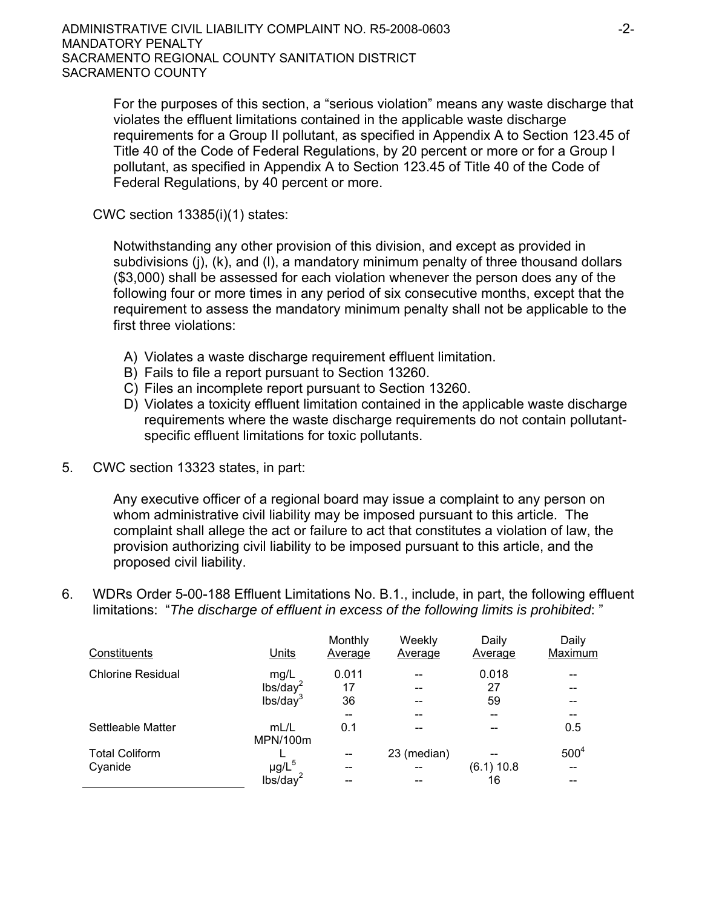For the purposes of this section, a "serious violation" means any waste discharge that violates the effluent limitations contained in the applicable waste discharge requirements for a Group II pollutant, as specified in Appendix A to Section 123.45 of Title 40 of the Code of Federal Regulations, by 20 percent or more or for a Group I pollutant, as specified in Appendix A to Section 123.45 of Title 40 of the Code of Federal Regulations, by 40 percent or more.

CWC section 13385(i)(1) states:

Notwithstanding any other provision of this division, and except as provided in subdivisions (j), (k), and (l), a mandatory minimum penalty of three thousand dollars (\$3,000) shall be assessed for each violation whenever the person does any of the following four or more times in any period of six consecutive months, except that the requirement to assess the mandatory minimum penalty shall not be applicable to the first three violations:

- A) Violates a waste discharge requirement effluent limitation.
- B) Fails to file a report pursuant to Section 13260.
- C) Files an incomplete report pursuant to Section 13260.
- D) Violates a toxicity effluent limitation contained in the applicable waste discharge requirements where the waste discharge requirements do not contain pollutantspecific effluent limitations for toxic pollutants.
- 5. CWC section 13323 states, in part:

Any executive officer of a regional board may issue a complaint to any person on whom administrative civil liability may be imposed pursuant to this article. The complaint shall allege the act or failure to act that constitutes a violation of law, the provision authorizing civil liability to be imposed pursuant to this article, and the proposed civil liability.

6. WDRs Order 5-00-188 Effluent Limitations No. B.1., include, in part, the following effluent limitations: "*The discharge of effluent in excess of the following limits is prohibited*: "

| Constituents             | Units                | Monthly<br>Average | Weekly<br>Average | Daily<br>Average | Daily<br>Maximum |
|--------------------------|----------------------|--------------------|-------------------|------------------|------------------|
| <b>Chlorine Residual</b> | mg/L                 | 0.011              |                   | 0.018            |                  |
|                          | lbs/day <sup>2</sup> | 17                 |                   | 27               |                  |
|                          | lbs/day              | 36                 |                   | 59               |                  |
|                          |                      | --                 |                   | --               |                  |
| Settleable Matter        | mL/L<br>MPN/100m     | 0.1                |                   |                  | 0.5              |
| <b>Total Coliform</b>    |                      |                    | 23 (median)       |                  | 500 <sup>4</sup> |
| Cyanide                  | $\mu$ g/L $^5$       |                    |                   | (6.1) 10.8       |                  |
|                          | lbs/day <sup>2</sup> |                    |                   | 16               |                  |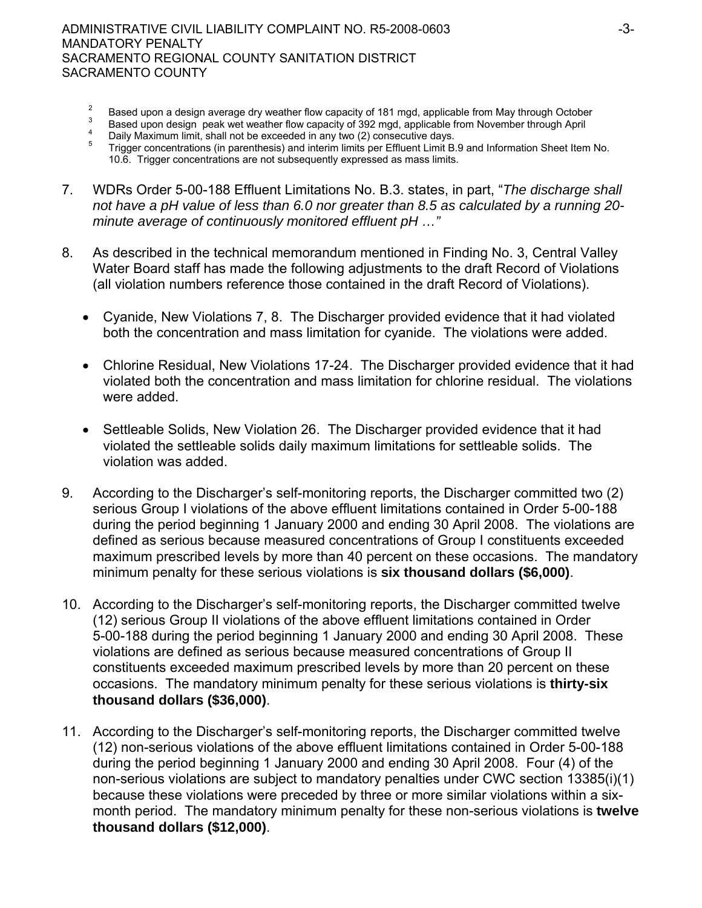- 2 Based upon a design average dry weather flow capacity of 181 mgd, applicable from May through October  $\frac{3}{2}$ .
- Based upon design peak wet weather flow capacity of 392 mgd, applicable from November through April Daily Maximum limit, shall not be exceeded in any two (2) consecutive days.
- $\begin{array}{c} 4 \\ 5 \end{array}$  Trigger concentrations (in parenthesis) and interim limits per Effluent Limit B.9 and Information Sheet Item No. 10.6. Trigger concentrations are not subsequently expressed as mass limits.
- 7. WDRs Order 5-00-188 Effluent Limitations No. B.3. states, in part, "*The discharge shall not have a pH value of less than 6.0 nor greater than 8.5 as calculated by a running 20 minute average of continuously monitored effluent pH …"*
- 8. As described in the technical memorandum mentioned in Finding No. 3, Central Valley Water Board staff has made the following adjustments to the draft Record of Violations (all violation numbers reference those contained in the draft Record of Violations).
	- Cyanide, New Violations 7, 8. The Discharger provided evidence that it had violated both the concentration and mass limitation for cyanide. The violations were added.
	- Chlorine Residual, New Violations 17-24. The Discharger provided evidence that it had violated both the concentration and mass limitation for chlorine residual. The violations were added.
	- Settleable Solids, New Violation 26. The Discharger provided evidence that it had violated the settleable solids daily maximum limitations for settleable solids. The violation was added.
- 9. According to the Discharger's self-monitoring reports, the Discharger committed two (2) serious Group I violations of the above effluent limitations contained in Order 5-00-188 during the period beginning 1 January 2000 and ending 30 April 2008. The violations are defined as serious because measured concentrations of Group I constituents exceeded maximum prescribed levels by more than 40 percent on these occasions. The mandatory minimum penalty for these serious violations is **six thousand dollars (\$6,000)**.
- 10. According to the Discharger's self-monitoring reports, the Discharger committed twelve (12) serious Group II violations of the above effluent limitations contained in Order 5-00-188 during the period beginning 1 January 2000 and ending 30 April 2008. These violations are defined as serious because measured concentrations of Group II constituents exceeded maximum prescribed levels by more than 20 percent on these occasions. The mandatory minimum penalty for these serious violations is **thirty-six thousand dollars (\$36,000)**.
- 11. According to the Discharger's self-monitoring reports, the Discharger committed twelve (12) non-serious violations of the above effluent limitations contained in Order 5-00-188 during the period beginning 1 January 2000 and ending 30 April 2008. Four (4) of the non-serious violations are subject to mandatory penalties under CWC section 13385(i)(1) because these violations were preceded by three or more similar violations within a sixmonth period. The mandatory minimum penalty for these non-serious violations is **twelve thousand dollars (\$12,000)**.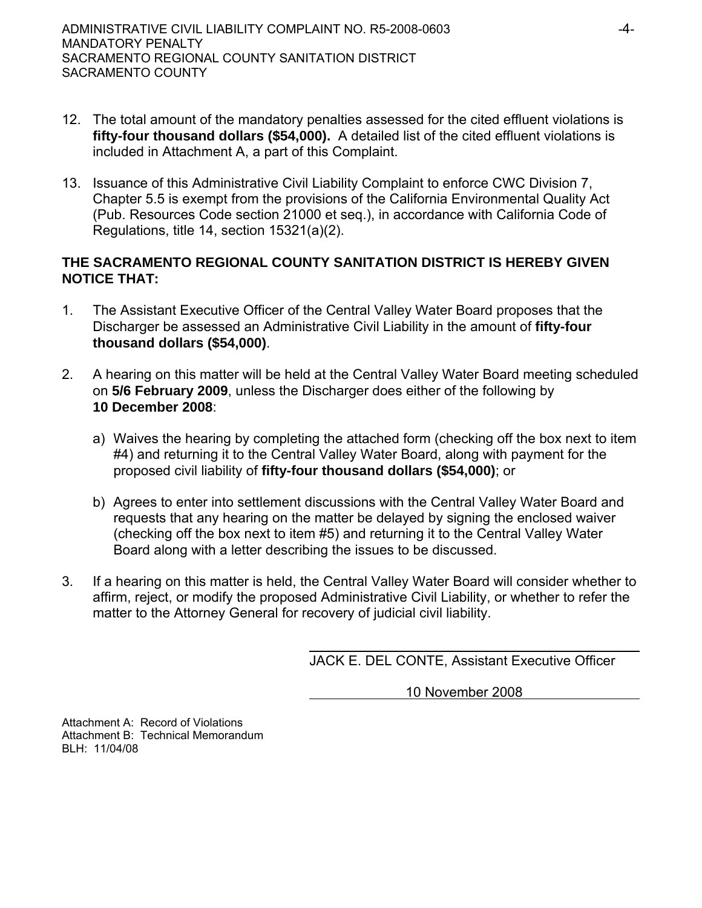- 12. The total amount of the mandatory penalties assessed for the cited effluent violations is **fifty-four thousand dollars (\$54,000).** A detailed list of the cited effluent violations is included in Attachment A, a part of this Complaint.
- 13. Issuance of this Administrative Civil Liability Complaint to enforce CWC Division 7, Chapter 5.5 is exempt from the provisions of the California Environmental Quality Act (Pub. Resources Code section 21000 et seq.), in accordance with California Code of Regulations, title 14, section 15321(a)(2).

## **THE SACRAMENTO REGIONAL COUNTY SANITATION DISTRICT IS HEREBY GIVEN NOTICE THAT:**

- 1. The Assistant Executive Officer of the Central Valley Water Board proposes that the Discharger be assessed an Administrative Civil Liability in the amount of **fifty-four thousand dollars (\$54,000)**.
- 2. A hearing on this matter will be held at the Central Valley Water Board meeting scheduled on **5/6 February 2009**, unless the Discharger does either of the following by **10 December 2008**:
	- a) Waives the hearing by completing the attached form (checking off the box next to item #4) and returning it to the Central Valley Water Board, along with payment for the proposed civil liability of **fifty-four thousand dollars (\$54,000)**; or
	- b) Agrees to enter into settlement discussions with the Central Valley Water Board and requests that any hearing on the matter be delayed by signing the enclosed waiver (checking off the box next to item #5) and returning it to the Central Valley Water Board along with a letter describing the issues to be discussed.
- 3. If a hearing on this matter is held, the Central Valley Water Board will consider whether to affirm, reject, or modify the proposed Administrative Civil Liability, or whether to refer the matter to the Attorney General for recovery of judicial civil liability.

JACK E. DEL CONTE, Assistant Executive Officer

10 November 2008

Attachment A: Record of Violations Attachment B: Technical Memorandum BLH: 11/04/08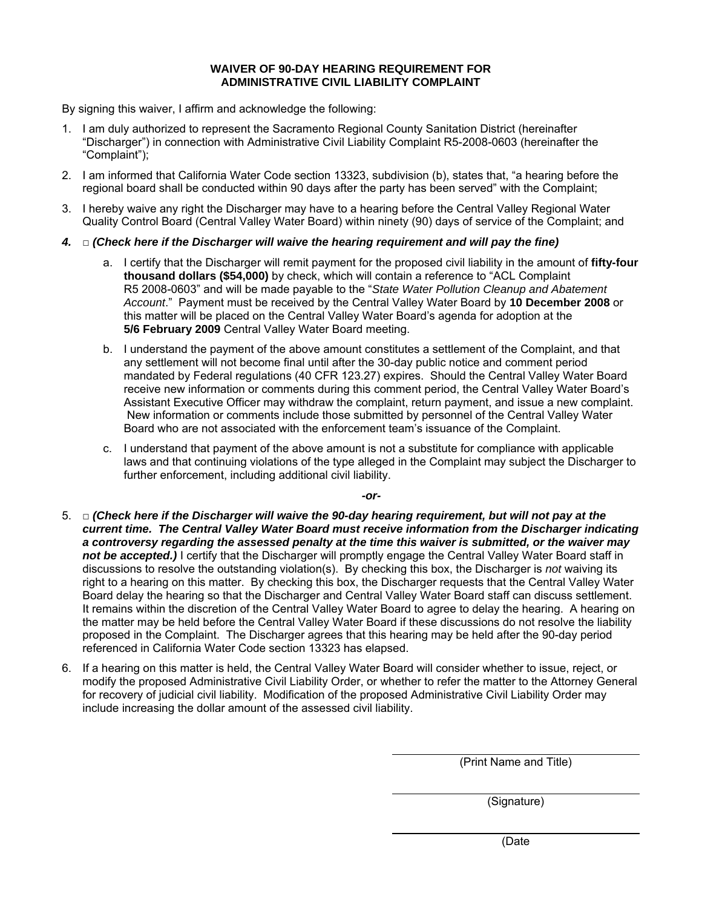#### **WAIVER OF 90-DAY HEARING REQUIREMENT FOR ADMINISTRATIVE CIVIL LIABILITY COMPLAINT**

By signing this waiver, I affirm and acknowledge the following:

- 1. I am duly authorized to represent the Sacramento Regional County Sanitation District (hereinafter "Discharger") in connection with Administrative Civil Liability Complaint R5-2008-0603 (hereinafter the "Complaint");
- 2. I am informed that California Water Code section 13323, subdivision (b), states that, "a hearing before the regional board shall be conducted within 90 days after the party has been served" with the Complaint;
- 3. I hereby waive any right the Discharger may have to a hearing before the Central Valley Regional Water Quality Control Board (Central Valley Water Board) within ninety (90) days of service of the Complaint; and
- *4.* □ *(Check here if the Discharger will waive the hearing requirement and will pay the fine)* 
	- a. I certify that the Discharger will remit payment for the proposed civil liability in the amount of **fifty-four thousand dollars (\$54,000)** by check, which will contain a reference to "ACL Complaint R5 2008-0603" and will be made payable to the "*State Water Pollution Cleanup and Abatement Account*." Payment must be received by the Central Valley Water Board by **10 December 2008** or this matter will be placed on the Central Valley Water Board's agenda for adoption at the **5/6 February 2009** Central Valley Water Board meeting.
	- b. I understand the payment of the above amount constitutes a settlement of the Complaint, and that any settlement will not become final until after the 30-day public notice and comment period mandated by Federal regulations (40 CFR 123.27) expires. Should the Central Valley Water Board receive new information or comments during this comment period, the Central Valley Water Board's Assistant Executive Officer may withdraw the complaint, return payment, and issue a new complaint. New information or comments include those submitted by personnel of the Central Valley Water Board who are not associated with the enforcement team's issuance of the Complaint.
	- c. I understand that payment of the above amount is not a substitute for compliance with applicable laws and that continuing violations of the type alleged in the Complaint may subject the Discharger to further enforcement, including additional civil liability.

*-or-*

- 5. □ *(Check here if the Discharger will waive the 90-day hearing requirement, but will not pay at the current time. The Central Valley Water Board must receive information from the Discharger indicating a controversy regarding the assessed penalty at the time this waiver is submitted, or the waiver may*  not be accepted.) I certify that the Discharger will promptly engage the Central Valley Water Board staff in discussions to resolve the outstanding violation(s). By checking this box, the Discharger is *not* waiving its right to a hearing on this matter. By checking this box, the Discharger requests that the Central Valley Water Board delay the hearing so that the Discharger and Central Valley Water Board staff can discuss settlement. It remains within the discretion of the Central Valley Water Board to agree to delay the hearing. A hearing on the matter may be held before the Central Valley Water Board if these discussions do not resolve the liability proposed in the Complaint. The Discharger agrees that this hearing may be held after the 90-day period referenced in California Water Code section 13323 has elapsed.
- 6. If a hearing on this matter is held, the Central Valley Water Board will consider whether to issue, reject, or modify the proposed Administrative Civil Liability Order, or whether to refer the matter to the Attorney General for recovery of judicial civil liability. Modification of the proposed Administrative Civil Liability Order may include increasing the dollar amount of the assessed civil liability.

(Print Name and Title)

(Signature)

(Date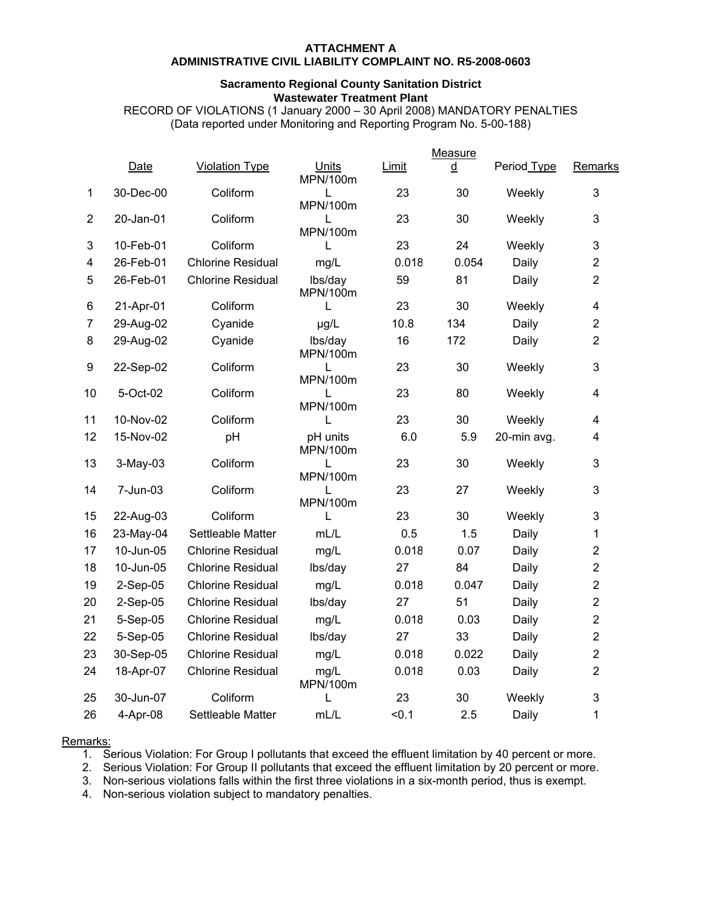#### **ATTACHMENT A ADMINISTRATIVE CIVIL LIABILITY COMPLAINT NO. R5-2008-0603**

#### **Sacramento Regional County Sanitation District Wastewater Treatment Plant**

RECORD OF VIOLATIONS (1 January 2000 – 30 April 2008) MANDATORY PENALTIES (Data reported under Monitoring and Reporting Program No. 5-00-188)

|                | Measure    |                          |                      |       |       |             |                         |
|----------------|------------|--------------------------|----------------------|-------|-------|-------------|-------------------------|
|                | Date       | <b>Violation Type</b>    | Units<br>MPN/100m    | Limit | ₫     | Period Type | Remarks                 |
| 1              | 30-Dec-00  | Coliform                 | L<br>MPN/100m        | 23    | 30    | Weekly      | 3                       |
| $\overline{2}$ | 20-Jan-01  | Coliform                 | L<br>MPN/100m        | 23    | 30    | Weekly      | 3                       |
| 3              | 10-Feb-01  | Coliform                 | L                    | 23    | 24    | Weekly      | 3                       |
| 4              | 26-Feb-01  | <b>Chlorine Residual</b> | mg/L                 | 0.018 | 0.054 | Daily       | $\overline{2}$          |
| 5              | 26-Feb-01  | <b>Chlorine Residual</b> | lbs/day<br>MPN/100m  | 59    | 81    | Daily       | $\overline{2}$          |
| 6              | 21-Apr-01  | Coliform                 | L                    | 23    | 30    | Weekly      | $\overline{\mathbf{4}}$ |
| 7              | 29-Aug-02  | Cyanide                  | µg/L                 | 10.8  | 134   | Daily       | $\overline{2}$          |
| 8              | 29-Aug-02  | Cyanide                  | lbs/day<br>MPN/100m  | 16    | 172   | Daily       | $\overline{2}$          |
| 9              | 22-Sep-02  | Coliform                 | L<br>MPN/100m        | 23    | 30    | Weekly      | 3                       |
| 10             | 5-Oct-02   | Coliform                 | L<br>MPN/100m        | 23    | 80    | Weekly      | $\overline{\mathbf{4}}$ |
| 11             | 10-Nov-02  | Coliform                 | L                    | 23    | 30    | Weekly      | $\overline{4}$          |
| 12             | 15-Nov-02  | pH                       | pH units<br>MPN/100m | 6.0   | 5.9   | 20-min avg. | 4                       |
| 13             | 3-May-03   | Coliform                 | L<br>MPN/100m        | 23    | 30    | Weekly      | 3                       |
| 14             | 7-Jun-03   | Coliform                 | L<br>MPN/100m        | 23    | 27    | Weekly      | 3                       |
| 15             | 22-Aug-03  | Coliform                 | L                    | 23    | 30    | Weekly      | 3                       |
| 16             | 23-May-04  | Settleable Matter        | mL/L                 | 0.5   | 1.5   | Daily       | 1                       |
| 17             | 10-Jun-05  | <b>Chlorine Residual</b> | mg/L                 | 0.018 | 0.07  | Daily       | $\overline{2}$          |
| 18             | 10-Jun-05  | <b>Chlorine Residual</b> | lbs/day              | 27    | 84    | Daily       | $\overline{2}$          |
| 19             | 2-Sep-05   | <b>Chlorine Residual</b> | mg/L                 | 0.018 | 0.047 | Daily       | $\overline{2}$          |
| 20             | $2-Sep-05$ | <b>Chlorine Residual</b> | lbs/day              | 27    | 51    | Daily       | $\overline{2}$          |
| 21             | 5-Sep-05   | <b>Chlorine Residual</b> | mg/L                 | 0.018 | 0.03  | Daily       | $\overline{2}$          |
| 22             | 5-Sep-05   | <b>Chlorine Residual</b> | lbs/day              | 27    | 33    | Daily       | $\overline{2}$          |
| 23             | 30-Sep-05  | <b>Chlorine Residual</b> | mg/L                 | 0.018 | 0.022 | Daily       | $\overline{2}$          |
| 24             | 18-Apr-07  | <b>Chlorine Residual</b> | mg/L<br>MPN/100m     | 0.018 | 0.03  | Daily       | $\overline{2}$          |
| 25             | 30-Jun-07  | Coliform                 | L                    | 23    | 30    | Weekly      | 3                       |
| 26             | 4-Apr-08   | Settleable Matter        | mL/L                 | < 0.1 | 2.5   | Daily       | 1                       |

#### Remarks:

1. Serious Violation: For Group I pollutants that exceed the effluent limitation by 40 percent or more.

2. Serious Violation: For Group II pollutants that exceed the effluent limitation by 20 percent or more.

3. Non-serious violations falls within the first three violations in a six-month period, thus is exempt.

4. Non-serious violation subject to mandatory penalties.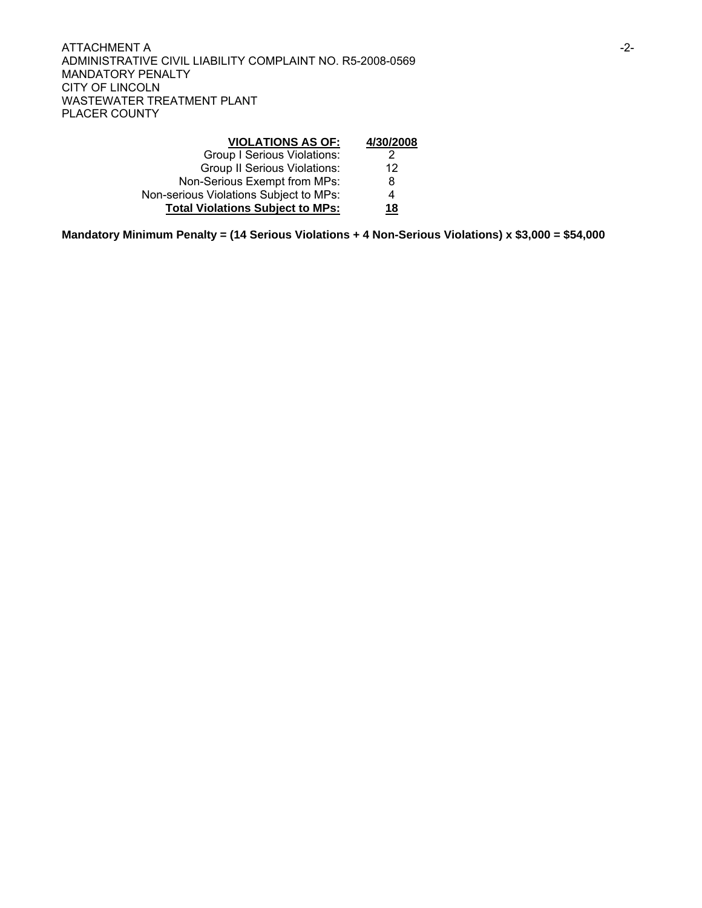| <b>VIOLATIONS AS OF:</b>                | 4/30/2008 |
|-----------------------------------------|-----------|
| <b>Group I Serious Violations:</b>      | 2         |
| <b>Group II Serious Violations:</b>     | 12        |
| Non-Serious Exempt from MPs:            | 8         |
| Non-serious Violations Subject to MPs:  | 4         |
| <b>Total Violations Subject to MPs:</b> | 18        |

**Mandatory Minimum Penalty = (14 Serious Violations + 4 Non-Serious Violations) x \$3,000 = \$54,000**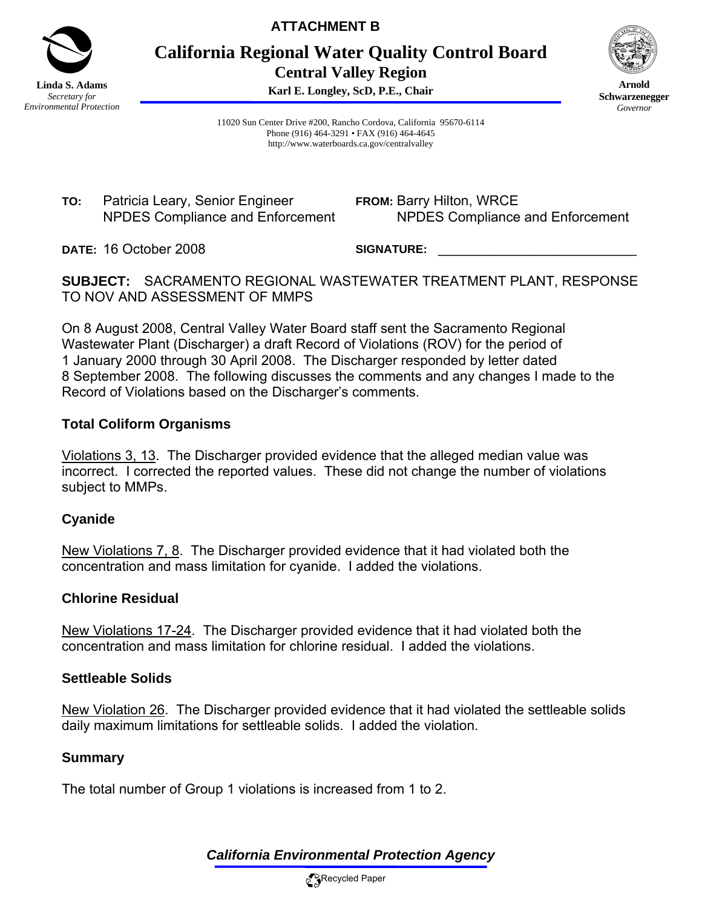

**ATTACHMENT B** 

**California Regional Water Quality Control Board Central Valley Region** 

**Karl E. Longley, ScD, P.E., Chair**



**Arnold Schwarzenegger** *Governor* 

11020 Sun Center Drive #200, Rancho Cordova, California 95670-6114 Phone (916) 464-3291 • FAX (916) 464-4645 http://www.waterboards.ca.gov/centralvalley

**TO:** Patricia Leary, Senior Engineer NPDES Compliance and Enforcement **FROM:** Barry Hilton, WRCE NPDES Compliance and Enforcement

**DATE:** 16 October 2008

SIGNATURE:

**SUBJECT:** SACRAMENTO REGIONAL WASTEWATER TREATMENT PLANT, RESPONSE TO NOV AND ASSESSMENT OF MMPS

On 8 August 2008, Central Valley Water Board staff sent the Sacramento Regional Wastewater Plant (Discharger) a draft Record of Violations (ROV) for the period of 1 January 2000 through 30 April 2008. The Discharger responded by letter dated 8 September 2008. The following discusses the comments and any changes I made to the Record of Violations based on the Discharger's comments.

## **Total Coliform Organisms**

Violations 3, 13. The Discharger provided evidence that the alleged median value was incorrect. I corrected the reported values. These did not change the number of violations subject to MMPs.

## **Cyanide**

New Violations 7, 8. The Discharger provided evidence that it had violated both the concentration and mass limitation for cyanide. I added the violations.

## **Chlorine Residual**

New Violations 17-24. The Discharger provided evidence that it had violated both the concentration and mass limitation for chlorine residual. I added the violations.

### **Settleable Solids**

New Violation 26. The Discharger provided evidence that it had violated the settleable solids daily maximum limitations for settleable solids. I added the violation.

### **Summary**

The total number of Group 1 violations is increased from 1 to 2.

# *California Environmental Protection Agency*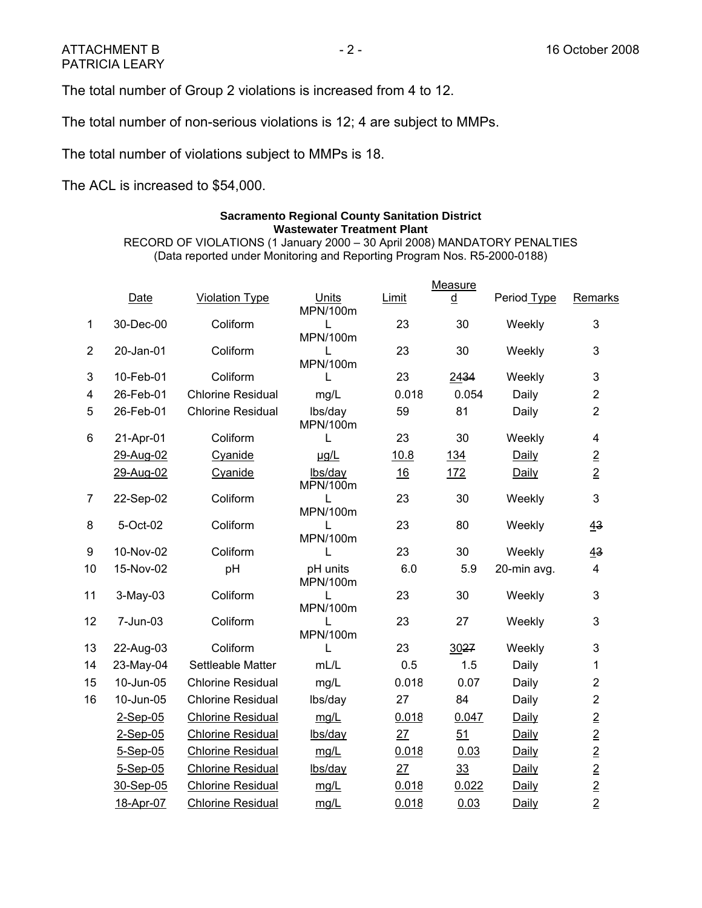The total number of Group 2 violations is increased from 4 to 12.

The total number of non-serious violations is 12; 4 are subject to MMPs.

The total number of violations subject to MMPs is 18.

The ACL is increased to \$54,000.

### **Sacramento Regional County Sanitation District Wastewater Treatment Plant**

RECORD OF VIOLATIONS (1 January 2000 – 30 April 2008) MANDATORY PENALTIES (Data reported under Monitoring and Reporting Program Nos. R5-2000-0188)

|                |            |                          |                      |       | Measure |             |                             |
|----------------|------------|--------------------------|----------------------|-------|---------|-------------|-----------------------------|
|                | Date       | <b>Violation Type</b>    | Units<br>MPN/100m    | Limit | d       | Period Type | Remarks                     |
| $\mathbf{1}$   | 30-Dec-00  | Coliform                 | L<br>MPN/100m        | 23    | 30      | Weekly      | 3                           |
| $\overline{2}$ | 20-Jan-01  | Coliform                 | L<br>MPN/100m        | 23    | 30      | Weekly      | 3                           |
| 3              | 10-Feb-01  | Coliform                 | L                    | 23    | 2434    | Weekly      | 3                           |
| 4              | 26-Feb-01  | <b>Chlorine Residual</b> | mg/L                 | 0.018 | 0.054   | Daily       | $\overline{2}$              |
| 5              | 26-Feb-01  | <b>Chlorine Residual</b> | lbs/day<br>MPN/100m  | 59    | 81      | Daily       | $\overline{2}$              |
| 6              | 21-Apr-01  | Coliform                 | L                    | 23    | 30      | Weekly      | 4                           |
|                | 29-Aug-02  | Cyanide                  | ug/L                 | 10.8  | 134     | Daily       | $\overline{2}$              |
|                | 29-Aug-02  | Cyanide                  | lbs/day<br>MPN/100m  | 16    | 172     | Daily       | $\overline{2}$              |
| $\overline{7}$ | 22-Sep-02  | Coliform                 | L<br>MPN/100m        | 23    | 30      | Weekly      | 3                           |
| 8              | 5-Oct-02   | Coliform                 | L<br>MPN/100m        | 23    | 80      | Weekly      | 43                          |
| 9              | 10-Nov-02  | Coliform                 | L                    | 23    | 30      | Weekly      | 43                          |
| 10             | 15-Nov-02  | pH                       | pH units<br>MPN/100m | 6.0   | 5.9     | 20-min avg. | 4                           |
| 11             | 3-May-03   | Coliform                 | L<br>MPN/100m        | 23    | 30      | Weekly      | 3                           |
| 12             | 7-Jun-03   | Coliform                 | L<br>MPN/100m        | 23    | 27      | Weekly      | 3                           |
| 13             | 22-Aug-03  | Coliform                 | L                    | 23    | 3027    | Weekly      | 3                           |
| 14             | 23-May-04  | Settleable Matter        | mL/L                 | 0.5   | 1.5     | Daily       | 1                           |
| 15             | 10-Jun-05  | <b>Chlorine Residual</b> | mg/L                 | 0.018 | 0.07    | Daily       | $\overline{2}$              |
| 16             | 10-Jun-05  | <b>Chlorine Residual</b> | lbs/day              | 27    | 84      | Daily       | $\overline{2}$              |
|                | 2-Sep-05   | <b>Chlorine Residual</b> | mg/L                 | 0.018 | 0.047   | Daily       | $\overline{2}$              |
|                | $2-Sep-05$ | <b>Chlorine Residual</b> | lbs/day              | 27    | 51      | Daily       |                             |
|                | $5-Sep-05$ | <b>Chlorine Residual</b> | mg/L                 | 0.018 | 0.03    | Daily       |                             |
|                | $5-Sep-05$ | <b>Chlorine Residual</b> | lbs/day              | 27    | 33      | Daily       |                             |
|                | 30-Sep-05  | <b>Chlorine Residual</b> | mg/L                 | 0.018 | 0.022   | Daily       | $\frac{2}{2}$ $\frac{2}{2}$ |
|                | 18-Apr-07  | <b>Chlorine Residual</b> | mg/L                 | 0.018 | 0.03    | Daily       |                             |